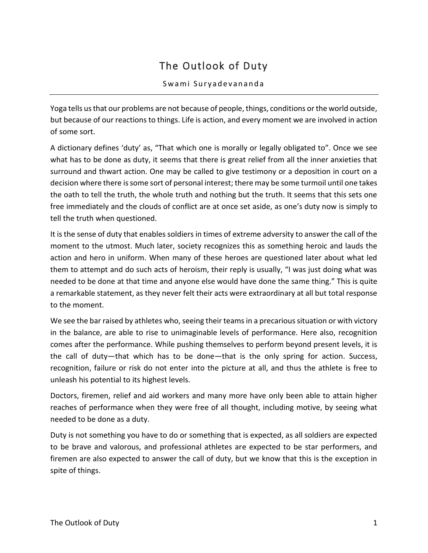## The Outlook of Duty

## Swami Suryadevananda

Yoga tells us that our problems are not because of people, things, conditions or the world outside, but because of our reactions to things. Life is action, and every moment we are involved in action of some sort.

A dictionary defines 'duty' as, "That which one is morally or legally obligated to". Once we see what has to be done as duty, it seems that there is great relief from all the inner anxieties that surround and thwart action. One may be called to give testimony or a deposition in court on a decision where there is some sort of personal interest; there may be some turmoil until one takes the oath to tell the truth, the whole truth and nothing but the truth. It seems that this sets one free immediately and the clouds of conflict are at once set aside, as one's duty now is simply to tell the truth when questioned.

It is the sense of duty that enables soldiers in times of extreme adversity to answer the call of the moment to the utmost. Much later, society recognizes this as something heroic and lauds the action and hero in uniform. When many of these heroes are questioned later about what led them to attempt and do such acts of heroism, their reply is usually, "I was just doing what was needed to be done at that time and anyone else would have done the same thing." This is quite a remarkable statement, as they never felt their acts were extraordinary at all but total response to the moment.

We see the bar raised by athletes who, seeing their teams in a precarious situation or with victory in the balance, are able to rise to unimaginable levels of performance. Here also, recognition comes after the performance. While pushing themselves to perform beyond present levels, it is the call of duty—that which has to be done—that is the only spring for action. Success, recognition, failure or risk do not enter into the picture at all, and thus the athlete is free to unleash his potential to its highest levels.

Doctors, firemen, relief and aid workers and many more have only been able to attain higher reaches of performance when they were free of all thought, including motive, by seeing what needed to be done as a duty.

Duty is not something you have to do or something that is expected, as all soldiers are expected to be brave and valorous, and professional athletes are expected to be star performers, and firemen are also expected to answer the call of duty, but we know that this is the exception in spite of things.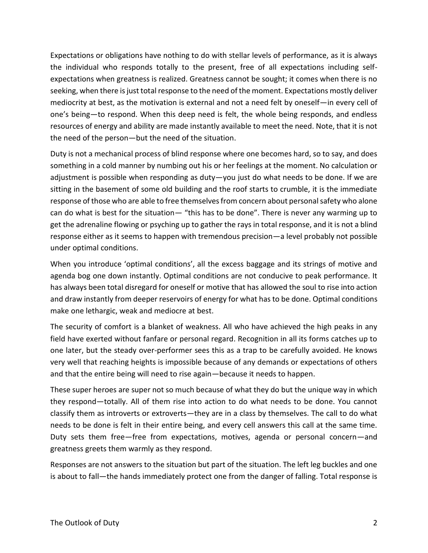Expectations or obligations have nothing to do with stellar levels of performance, as it is always the individual who responds totally to the present, free of all expectations including selfexpectations when greatness is realized. Greatness cannot be sought; it comes when there is no seeking, when there is just total response to the need of the moment. Expectations mostly deliver mediocrity at best, as the motivation is external and not a need felt by oneself—in every cell of one's being—to respond. When this deep need is felt, the whole being responds, and endless resources of energy and ability are made instantly available to meet the need. Note, that it is not the need of the person—but the need of the situation.

Duty is not a mechanical process of blind response where one becomes hard, so to say, and does something in a cold manner by numbing out his or her feelings at the moment. No calculation or adjustment is possible when responding as duty—you just do what needs to be done. If we are sitting in the basement of some old building and the roof starts to crumble, it is the immediate response of those who are able to free themselves from concern about personal safety who alone can do what is best for the situation— "this has to be done". There is never any warming up to get the adrenaline flowing or psyching up to gather the rays in total response, and it is not a blind response either as it seems to happen with tremendous precision—a level probably not possible under optimal conditions.

When you introduce 'optimal conditions', all the excess baggage and its strings of motive and agenda bog one down instantly. Optimal conditions are not conducive to peak performance. It has always been total disregard for oneself or motive that has allowed the soul to rise into action and draw instantly from deeper reservoirs of energy for what has to be done. Optimal conditions make one lethargic, weak and mediocre at best.

The security of comfort is a blanket of weakness. All who have achieved the high peaks in any field have exerted without fanfare or personal regard. Recognition in all its forms catches up to one later, but the steady over-performer sees this as a trap to be carefully avoided. He knows very well that reaching heights is impossible because of any demands or expectations of others and that the entire being will need to rise again—because it needs to happen.

These super heroes are super not so much because of what they do but the unique way in which they respond—totally. All of them rise into action to do what needs to be done. You cannot classify them as introverts or extroverts—they are in a class by themselves. The call to do what needs to be done is felt in their entire being, and every cell answers this call at the same time. Duty sets them free—free from expectations, motives, agenda or personal concern—and greatness greets them warmly as they respond.

Responses are not answers to the situation but part of the situation. The left leg buckles and one is about to fall—the hands immediately protect one from the danger of falling. Total response is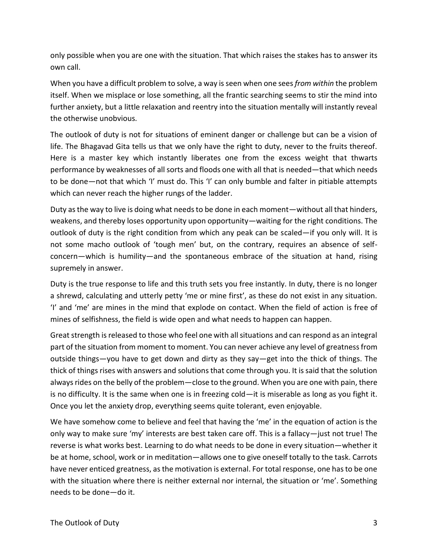only possible when you are one with the situation. That which raises the stakes has to answer its own call.

When you have a difficult problem to solve, a way is seen when one sees *from within* the problem itself. When we misplace or lose something, all the frantic searching seems to stir the mind into further anxiety, but a little relaxation and reentry into the situation mentally will instantly reveal the otherwise unobvious.

The outlook of duty is not for situations of eminent danger or challenge but can be a vision of life. The Bhagavad Gita tells us that we only have the right to duty, never to the fruits thereof. Here is a master key which instantly liberates one from the excess weight that thwarts performance by weaknesses of all sorts and floods one with all that is needed—that which needs to be done—not that which 'I' must do. This 'I' can only bumble and falter in pitiable attempts which can never reach the higher rungs of the ladder.

Duty as the way to live is doing what needs to be done in each moment—without all that hinders, weakens, and thereby loses opportunity upon opportunity—waiting for the right conditions. The outlook of duty is the right condition from which any peak can be scaled—if you only will. It is not some macho outlook of 'tough men' but, on the contrary, requires an absence of selfconcern—which is humility—and the spontaneous embrace of the situation at hand, rising supremely in answer.

Duty is the true response to life and this truth sets you free instantly. In duty, there is no longer a shrewd, calculating and utterly petty 'me or mine first', as these do not exist in any situation. 'I' and 'me' are mines in the mind that explode on contact. When the field of action is free of mines of selfishness, the field is wide open and what needs to happen can happen.

Great strength is released to those who feel one with all situations and can respond as an integral part of the situation from moment to moment. You can never achieve any level of greatness from outside things—you have to get down and dirty as they say—get into the thick of things. The thick of things rises with answers and solutions that come through you. It is said that the solution always rides on the belly of the problem—close to the ground. When you are one with pain, there is no difficulty. It is the same when one is in freezing cold—it is miserable as long as you fight it. Once you let the anxiety drop, everything seems quite tolerant, even enjoyable.

We have somehow come to believe and feel that having the 'me' in the equation of action is the only way to make sure 'my' interests are best taken care off. This is a fallacy—just not true! The reverse is what works best. Learning to do what needs to be done in every situation—whether it be at home, school, work or in meditation—allows one to give oneself totally to the task. Carrots have never enticed greatness, as the motivation is external. For total response, one has to be one with the situation where there is neither external nor internal, the situation or 'me'. Something needs to be done—do it.